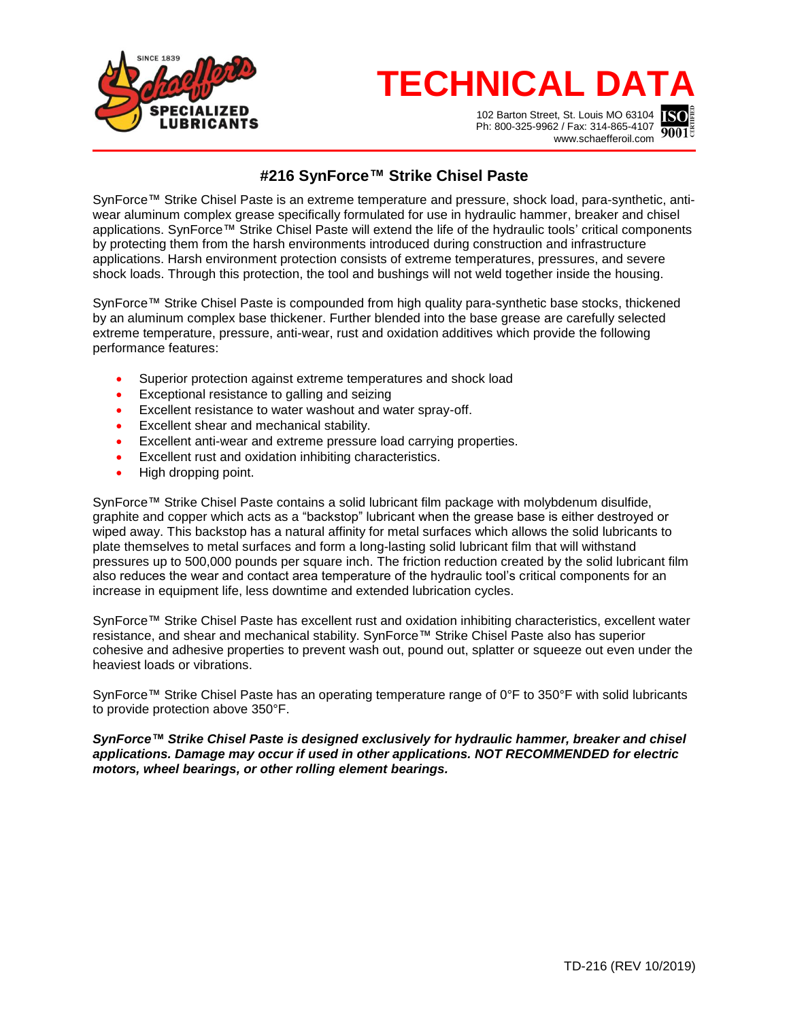

## **TECHNICAL DATA**

102 Barton Street, St. Louis MO 63104 Ph: 800-325-9962 / Fax: 314-865-4107 www.schaefferoil.com



## **#216 SynForce™ Strike Chisel Paste**

SynForce™ Strike Chisel Paste is an extreme temperature and pressure, shock load, para-synthetic, antiwear aluminum complex grease specifically formulated for use in hydraulic hammer, breaker and chisel applications. SynForce™ Strike Chisel Paste will extend the life of the hydraulic tools' critical components by protecting them from the harsh environments introduced during construction and infrastructure applications. Harsh environment protection consists of extreme temperatures, pressures, and severe shock loads. Through this protection, the tool and bushings will not weld together inside the housing.

SynForce™ Strike Chisel Paste is compounded from high quality para-synthetic base stocks, thickened by an aluminum complex base thickener. Further blended into the base grease are carefully selected extreme temperature, pressure, anti-wear, rust and oxidation additives which provide the following performance features:

- Superior protection against extreme temperatures and shock load
- Exceptional resistance to galling and seizing
- Excellent resistance to water washout and water spray-off.
- Excellent shear and mechanical stability.
- Excellent anti-wear and extreme pressure load carrying properties.
- Excellent rust and oxidation inhibiting characteristics.
- High dropping point.

SynForce™ Strike Chisel Paste contains a solid lubricant film package with molybdenum disulfide, graphite and copper which acts as a "backstop" lubricant when the grease base is either destroyed or wiped away. This backstop has a natural affinity for metal surfaces which allows the solid lubricants to plate themselves to metal surfaces and form a long-lasting solid lubricant film that will withstand pressures up to 500,000 pounds per square inch. The friction reduction created by the solid lubricant film also reduces the wear and contact area temperature of the hydraulic tool's critical components for an increase in equipment life, less downtime and extended lubrication cycles.

SynForce™ Strike Chisel Paste has excellent rust and oxidation inhibiting characteristics, excellent water resistance, and shear and mechanical stability. SynForce™ Strike Chisel Paste also has superior cohesive and adhesive properties to prevent wash out, pound out, splatter or squeeze out even under the heaviest loads or vibrations.

SynForce™ Strike Chisel Paste has an operating temperature range of 0°F to 350°F with solid lubricants to provide protection above 350°F.

*SynForce™ Strike Chisel Paste is designed exclusively for hydraulic hammer, breaker and chisel applications. Damage may occur if used in other applications. NOT RECOMMENDED for electric motors, wheel bearings, or other rolling element bearings.*